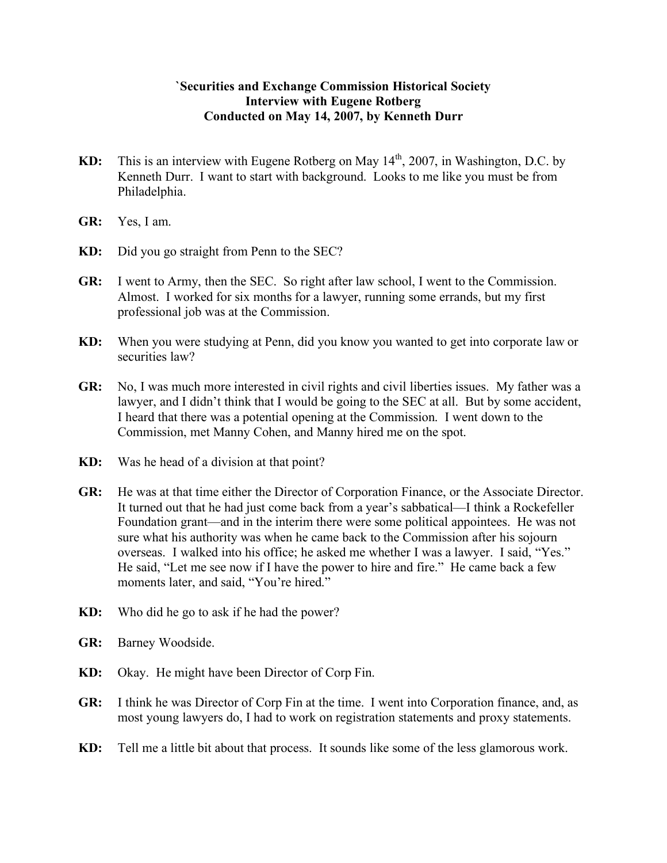## **`Securities and Exchange Commission Historical Society Interview with Eugene Rotberg Conducted on May 14, 2007, by Kenneth Durr**

- **KD:** This is an interview with Eugene Rotberg on May 14<sup>th</sup>, 2007, in Washington, D.C. by Kenneth Durr. I want to start with background. Looks to me like you must be from Philadelphia.
- **GR:** Yes, I am.
- **KD:** Did you go straight from Penn to the SEC?
- **GR:** I went to Army, then the SEC. So right after law school, I went to the Commission. Almost. I worked for six months for a lawyer, running some errands, but my first professional job was at the Commission.
- **KD:** When you were studying at Penn, did you know you wanted to get into corporate law or securities law?
- **GR:** No, I was much more interested in civil rights and civil liberties issues. My father was a lawyer, and I didn't think that I would be going to the SEC at all. But by some accident, I heard that there was a potential opening at the Commission. I went down to the Commission, met Manny Cohen, and Manny hired me on the spot.
- **KD:** Was he head of a division at that point?
- **GR:** He was at that time either the Director of Corporation Finance, or the Associate Director. It turned out that he had just come back from a year's sabbatical—I think a Rockefeller Foundation grant—and in the interim there were some political appointees. He was not sure what his authority was when he came back to the Commission after his sojourn overseas. I walked into his office; he asked me whether I was a lawyer. I said, "Yes." He said, "Let me see now if I have the power to hire and fire." He came back a few moments later, and said, "You're hired."
- **KD:** Who did he go to ask if he had the power?
- **GR:** Barney Woodside.
- **KD:** Okay. He might have been Director of Corp Fin.
- **GR:** I think he was Director of Corp Fin at the time. I went into Corporation finance, and, as most young lawyers do, I had to work on registration statements and proxy statements.
- **KD:** Tell me a little bit about that process. It sounds like some of the less glamorous work.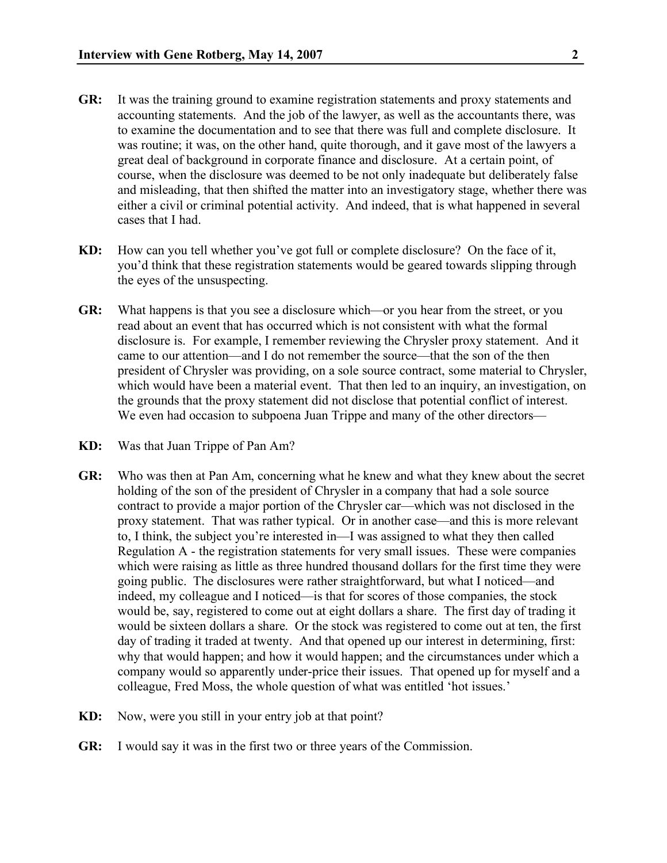- **GR:** It was the training ground to examine registration statements and proxy statements and accounting statements. And the job of the lawyer, as well as the accountants there, was to examine the documentation and to see that there was full and complete disclosure. It was routine; it was, on the other hand, quite thorough, and it gave most of the lawyers a great deal of background in corporate finance and disclosure. At a certain point, of course, when the disclosure was deemed to be not only inadequate but deliberately false and misleading, that then shifted the matter into an investigatory stage, whether there was either a civil or criminal potential activity. And indeed, that is what happened in several cases that I had.
- **KD:** How can you tell whether you've got full or complete disclosure? On the face of it, you'd think that these registration statements would be geared towards slipping through the eyes of the unsuspecting.
- **GR:** What happens is that you see a disclosure which—or you hear from the street, or you read about an event that has occurred which is not consistent with what the formal disclosure is. For example, I remember reviewing the Chrysler proxy statement. And it came to our attention—and I do not remember the source—that the son of the then president of Chrysler was providing, on a sole source contract, some material to Chrysler, which would have been a material event. That then led to an inquiry, an investigation, on the grounds that the proxy statement did not disclose that potential conflict of interest. We even had occasion to subpoena Juan Trippe and many of the other directors—
- **KD:** Was that Juan Trippe of Pan Am?
- **GR:** Who was then at Pan Am, concerning what he knew and what they knew about the secret holding of the son of the president of Chrysler in a company that had a sole source contract to provide a major portion of the Chrysler car—which was not disclosed in the proxy statement. That was rather typical. Or in another case—and this is more relevant to, I think, the subject you're interested in—I was assigned to what they then called Regulation A - the registration statements for very small issues. These were companies which were raising as little as three hundred thousand dollars for the first time they were going public. The disclosures were rather straightforward, but what I noticed—and indeed, my colleague and I noticed—is that for scores of those companies, the stock would be, say, registered to come out at eight dollars a share. The first day of trading it would be sixteen dollars a share. Or the stock was registered to come out at ten, the first day of trading it traded at twenty. And that opened up our interest in determining, first: why that would happen; and how it would happen; and the circumstances under which a company would so apparently under-price their issues. That opened up for myself and a colleague, Fred Moss, the whole question of what was entitled 'hot issues.'
- **KD:** Now, were you still in your entry job at that point?
- **GR:** I would say it was in the first two or three years of the Commission.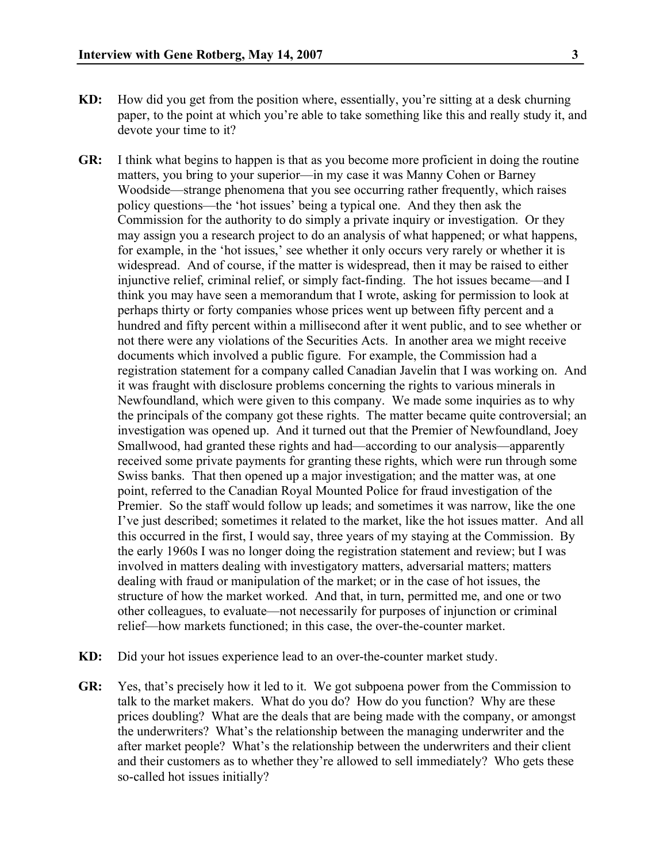- **KD:** How did you get from the position where, essentially, you're sitting at a desk churning paper, to the point at which you're able to take something like this and really study it, and devote your time to it?
- **GR:** I think what begins to happen is that as you become more proficient in doing the routine matters, you bring to your superior—in my case it was Manny Cohen or Barney Woodside—strange phenomena that you see occurring rather frequently, which raises policy questions—the 'hot issues' being a typical one. And they then ask the Commission for the authority to do simply a private inquiry or investigation. Or they may assign you a research project to do an analysis of what happened; or what happens, for example, in the 'hot issues,' see whether it only occurs very rarely or whether it is widespread. And of course, if the matter is widespread, then it may be raised to either injunctive relief, criminal relief, or simply fact-finding. The hot issues became—and I think you may have seen a memorandum that I wrote, asking for permission to look at perhaps thirty or forty companies whose prices went up between fifty percent and a hundred and fifty percent within a millisecond after it went public, and to see whether or not there were any violations of the Securities Acts. In another area we might receive documents which involved a public figure. For example, the Commission had a registration statement for a company called Canadian Javelin that I was working on. And it was fraught with disclosure problems concerning the rights to various minerals in Newfoundland, which were given to this company. We made some inquiries as to why the principals of the company got these rights. The matter became quite controversial; an investigation was opened up. And it turned out that the Premier of Newfoundland, Joey Smallwood, had granted these rights and had—according to our analysis—apparently received some private payments for granting these rights, which were run through some Swiss banks. That then opened up a major investigation; and the matter was, at one point, referred to the Canadian Royal Mounted Police for fraud investigation of the Premier. So the staff would follow up leads; and sometimes it was narrow, like the one I've just described; sometimes it related to the market, like the hot issues matter. And all this occurred in the first, I would say, three years of my staying at the Commission. By the early 1960s I was no longer doing the registration statement and review; but I was involved in matters dealing with investigatory matters, adversarial matters; matters dealing with fraud or manipulation of the market; or in the case of hot issues, the structure of how the market worked. And that, in turn, permitted me, and one or two other colleagues, to evaluate—not necessarily for purposes of injunction or criminal relief—how markets functioned; in this case, the over-the-counter market.
- **KD:** Did your hot issues experience lead to an over-the-counter market study.
- **GR:** Yes, that's precisely how it led to it. We got subpoena power from the Commission to talk to the market makers. What do you do? How do you function? Why are these prices doubling? What are the deals that are being made with the company, or amongst the underwriters? What's the relationship between the managing underwriter and the after market people? What's the relationship between the underwriters and their client and their customers as to whether they're allowed to sell immediately? Who gets these so-called hot issues initially?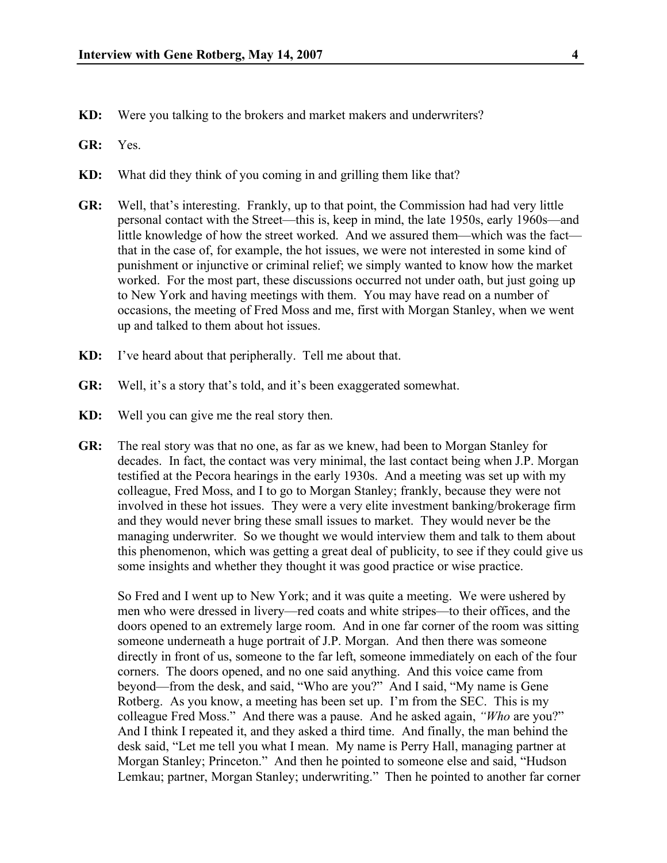- **KD:** Were you talking to the brokers and market makers and underwriters?
- **GR:** Yes.
- **KD:** What did they think of you coming in and grilling them like that?
- **GR:** Well, that's interesting. Frankly, up to that point, the Commission had had very little personal contact with the Street—this is, keep in mind, the late 1950s, early 1960s—and little knowledge of how the street worked. And we assured them—which was the fact that in the case of, for example, the hot issues, we were not interested in some kind of punishment or injunctive or criminal relief; we simply wanted to know how the market worked. For the most part, these discussions occurred not under oath, but just going up to New York and having meetings with them. You may have read on a number of occasions, the meeting of Fred Moss and me, first with Morgan Stanley, when we went up and talked to them about hot issues.
- **KD:** I've heard about that peripherally. Tell me about that.
- **GR:** Well, it's a story that's told, and it's been exaggerated somewhat.
- **KD:** Well you can give me the real story then.
- **GR:** The real story was that no one, as far as we knew, had been to Morgan Stanley for decades. In fact, the contact was very minimal, the last contact being when J.P. Morgan testified at the Pecora hearings in the early 1930s. And a meeting was set up with my colleague, Fred Moss, and I to go to Morgan Stanley; frankly, because they were not involved in these hot issues. They were a very elite investment banking/brokerage firm and they would never bring these small issues to market. They would never be the managing underwriter. So we thought we would interview them and talk to them about this phenomenon, which was getting a great deal of publicity, to see if they could give us some insights and whether they thought it was good practice or wise practice.

So Fred and I went up to New York; and it was quite a meeting. We were ushered by men who were dressed in livery—red coats and white stripes—to their offices, and the doors opened to an extremely large room. And in one far corner of the room was sitting someone underneath a huge portrait of J.P. Morgan. And then there was someone directly in front of us, someone to the far left, someone immediately on each of the four corners. The doors opened, and no one said anything. And this voice came from beyond—from the desk, and said, "Who are you?" And I said, "My name is Gene Rotberg. As you know, a meeting has been set up. I'm from the SEC. This is my colleague Fred Moss." And there was a pause. And he asked again, *"Who* are you?" And I think I repeated it, and they asked a third time. And finally, the man behind the desk said, "Let me tell you what I mean. My name is Perry Hall, managing partner at Morgan Stanley; Princeton." And then he pointed to someone else and said, "Hudson Lemkau; partner, Morgan Stanley; underwriting." Then he pointed to another far corner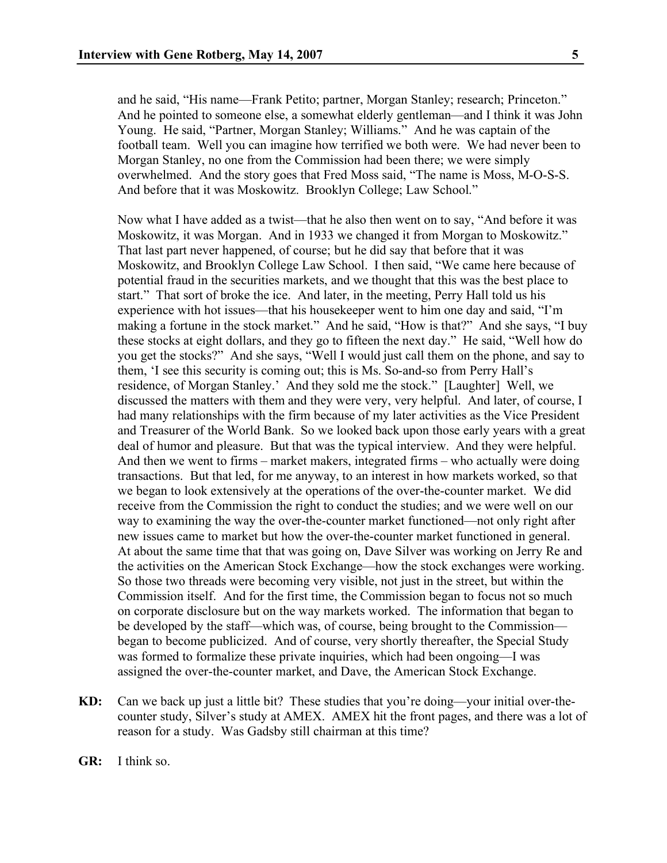and he said, "His name—Frank Petito; partner, Morgan Stanley; research; Princeton." And he pointed to someone else, a somewhat elderly gentleman—and I think it was John Young. He said, "Partner, Morgan Stanley; Williams." And he was captain of the football team. Well you can imagine how terrified we both were. We had never been to Morgan Stanley, no one from the Commission had been there; we were simply overwhelmed. And the story goes that Fred Moss said, "The name is Moss, M-O-S-S. And before that it was Moskowitz. Brooklyn College; Law School."

Now what I have added as a twist—that he also then went on to say, "And before it was Moskowitz, it was Morgan. And in 1933 we changed it from Morgan to Moskowitz." That last part never happened, of course; but he did say that before that it was Moskowitz, and Brooklyn College Law School. I then said, "We came here because of potential fraud in the securities markets, and we thought that this was the best place to start." That sort of broke the ice. And later, in the meeting, Perry Hall told us his experience with hot issues—that his housekeeper went to him one day and said, "I'm making a fortune in the stock market." And he said, "How is that?" And she says, "I buy these stocks at eight dollars, and they go to fifteen the next day." He said, "Well how do you get the stocks?" And she says, "Well I would just call them on the phone, and say to them, 'I see this security is coming out; this is Ms. So-and-so from Perry Hall's residence, of Morgan Stanley.' And they sold me the stock." [Laughter] Well, we discussed the matters with them and they were very, very helpful. And later, of course, I had many relationships with the firm because of my later activities as the Vice President and Treasurer of the World Bank. So we looked back upon those early years with a great deal of humor and pleasure. But that was the typical interview. And they were helpful. And then we went to firms – market makers, integrated firms – who actually were doing transactions. But that led, for me anyway, to an interest in how markets worked, so that we began to look extensively at the operations of the over-the-counter market. We did receive from the Commission the right to conduct the studies; and we were well on our way to examining the way the over-the-counter market functioned—not only right after new issues came to market but how the over-the-counter market functioned in general. At about the same time that that was going on, Dave Silver was working on Jerry Re and the activities on the American Stock Exchange—how the stock exchanges were working. So those two threads were becoming very visible, not just in the street, but within the Commission itself. And for the first time, the Commission began to focus not so much on corporate disclosure but on the way markets worked. The information that began to be developed by the staff—which was, of course, being brought to the Commission began to become publicized. And of course, very shortly thereafter, the Special Study was formed to formalize these private inquiries, which had been ongoing—I was assigned the over-the-counter market, and Dave, the American Stock Exchange.

- **KD:** Can we back up just a little bit? These studies that you're doing—your initial over-thecounter study, Silver's study at AMEX. AMEX hit the front pages, and there was a lot of reason for a study. Was Gadsby still chairman at this time?
- **GR:** I think so.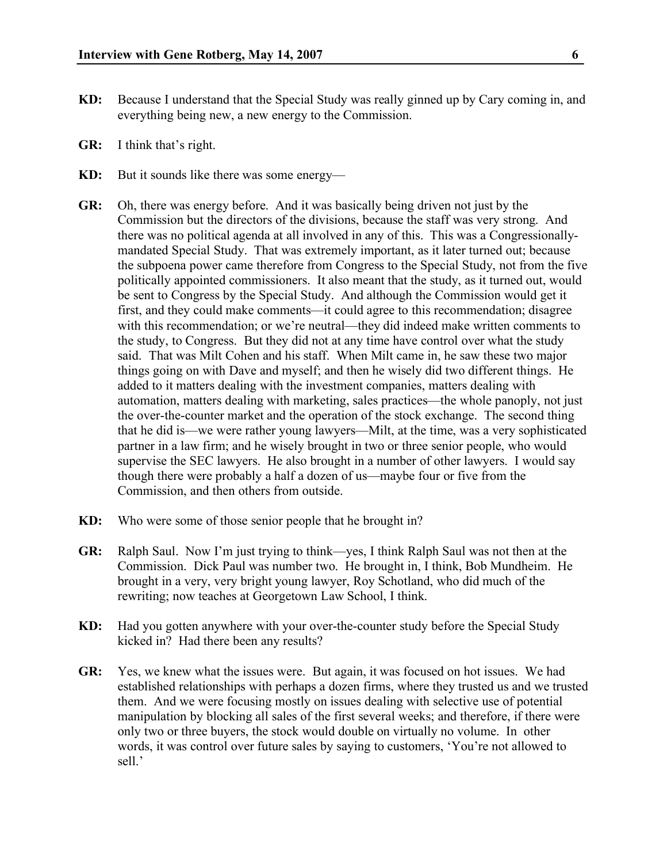- **KD:** Because I understand that the Special Study was really ginned up by Cary coming in, and everything being new, a new energy to the Commission.
- **GR:** I think that's right.
- **KD:** But it sounds like there was some energy—
- **GR:** Oh, there was energy before. And it was basically being driven not just by the Commission but the directors of the divisions, because the staff was very strong. And there was no political agenda at all involved in any of this. This was a Congressionallymandated Special Study. That was extremely important, as it later turned out; because the subpoena power came therefore from Congress to the Special Study, not from the five politically appointed commissioners. It also meant that the study, as it turned out, would be sent to Congress by the Special Study. And although the Commission would get it first, and they could make comments—it could agree to this recommendation; disagree with this recommendation; or we're neutral—they did indeed make written comments to the study, to Congress. But they did not at any time have control over what the study said. That was Milt Cohen and his staff. When Milt came in, he saw these two major things going on with Dave and myself; and then he wisely did two different things. He added to it matters dealing with the investment companies, matters dealing with automation, matters dealing with marketing, sales practices—the whole panoply, not just the over-the-counter market and the operation of the stock exchange. The second thing that he did is—we were rather young lawyers—Milt, at the time, was a very sophisticated partner in a law firm; and he wisely brought in two or three senior people, who would supervise the SEC lawyers. He also brought in a number of other lawyers. I would say though there were probably a half a dozen of us—maybe four or five from the Commission, and then others from outside.
- **KD:** Who were some of those senior people that he brought in?
- **GR:** Ralph Saul. Now I'm just trying to think—yes, I think Ralph Saul was not then at the Commission. Dick Paul was number two. He brought in, I think, Bob Mundheim. He brought in a very, very bright young lawyer, Roy Schotland, who did much of the rewriting; now teaches at Georgetown Law School, I think.
- **KD:** Had you gotten anywhere with your over-the-counter study before the Special Study kicked in? Had there been any results?
- **GR:** Yes, we knew what the issues were. But again, it was focused on hot issues. We had established relationships with perhaps a dozen firms, where they trusted us and we trusted them. And we were focusing mostly on issues dealing with selective use of potential manipulation by blocking all sales of the first several weeks; and therefore, if there were only two or three buyers, the stock would double on virtually no volume. In other words, it was control over future sales by saying to customers, 'You're not allowed to sell.'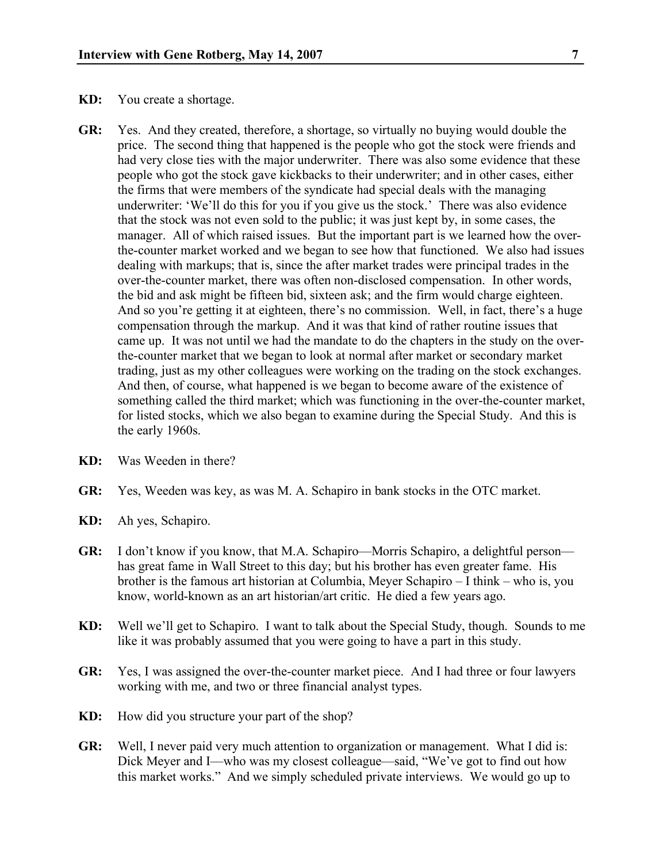- **KD:** You create a shortage.
- **GR:** Yes. And they created, therefore, a shortage, so virtually no buying would double the price. The second thing that happened is the people who got the stock were friends and had very close ties with the major underwriter. There was also some evidence that these people who got the stock gave kickbacks to their underwriter; and in other cases, either the firms that were members of the syndicate had special deals with the managing underwriter: 'We'll do this for you if you give us the stock.' There was also evidence that the stock was not even sold to the public; it was just kept by, in some cases, the manager. All of which raised issues. But the important part is we learned how the overthe-counter market worked and we began to see how that functioned. We also had issues dealing with markups; that is, since the after market trades were principal trades in the over-the-counter market, there was often non-disclosed compensation. In other words, the bid and ask might be fifteen bid, sixteen ask; and the firm would charge eighteen. And so you're getting it at eighteen, there's no commission. Well, in fact, there's a huge compensation through the markup. And it was that kind of rather routine issues that came up. It was not until we had the mandate to do the chapters in the study on the overthe-counter market that we began to look at normal after market or secondary market trading, just as my other colleagues were working on the trading on the stock exchanges. And then, of course, what happened is we began to become aware of the existence of something called the third market; which was functioning in the over-the-counter market, for listed stocks, which we also began to examine during the Special Study. And this is the early 1960s.
- **KD:** Was Weeden in there?
- **GR:** Yes, Weeden was key, as was M. A. Schapiro in bank stocks in the OTC market.
- **KD:** Ah yes, Schapiro.
- **GR:** I don't know if you know, that M.A. Schapiro—Morris Schapiro, a delightful person has great fame in Wall Street to this day; but his brother has even greater fame. His brother is the famous art historian at Columbia, Meyer Schapiro – I think – who is, you know, world-known as an art historian/art critic. He died a few years ago.
- **KD:** Well we'll get to Schapiro. I want to talk about the Special Study, though. Sounds to me like it was probably assumed that you were going to have a part in this study.
- **GR:** Yes, I was assigned the over-the-counter market piece. And I had three or four lawyers working with me, and two or three financial analyst types.
- **KD:** How did you structure your part of the shop?
- **GR:** Well, I never paid very much attention to organization or management. What I did is: Dick Meyer and I—who was my closest colleague—said, "We've got to find out how this market works." And we simply scheduled private interviews. We would go up to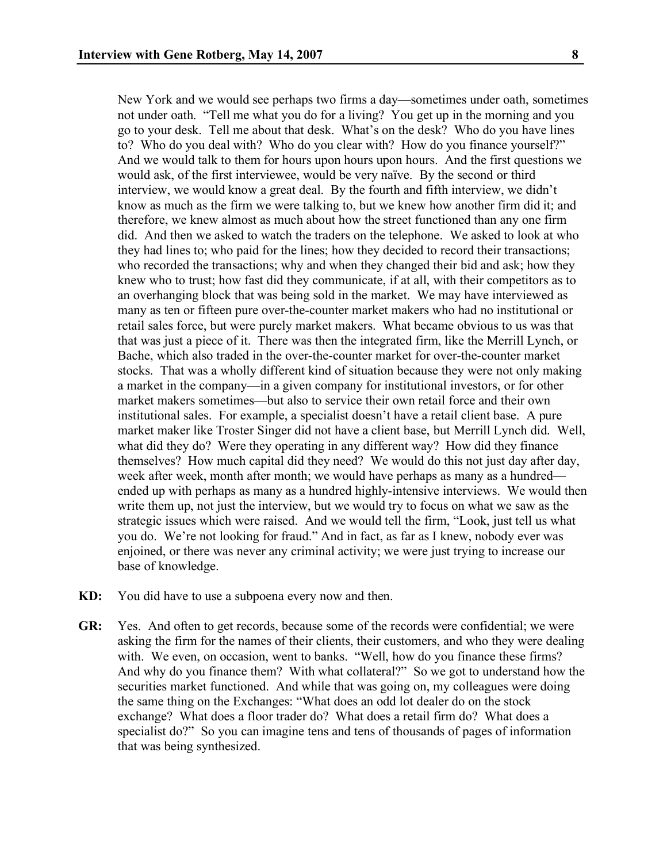New York and we would see perhaps two firms a day—sometimes under oath, sometimes not under oath. "Tell me what you do for a living? You get up in the morning and you go to your desk. Tell me about that desk. What's on the desk? Who do you have lines to? Who do you deal with? Who do you clear with? How do you finance yourself?" And we would talk to them for hours upon hours upon hours. And the first questions we would ask, of the first interviewee, would be very naïve. By the second or third interview, we would know a great deal. By the fourth and fifth interview, we didn't know as much as the firm we were talking to, but we knew how another firm did it; and therefore, we knew almost as much about how the street functioned than any one firm did. And then we asked to watch the traders on the telephone. We asked to look at who they had lines to; who paid for the lines; how they decided to record their transactions; who recorded the transactions; why and when they changed their bid and ask; how they knew who to trust; how fast did they communicate, if at all, with their competitors as to an overhanging block that was being sold in the market. We may have interviewed as many as ten or fifteen pure over-the-counter market makers who had no institutional or retail sales force, but were purely market makers. What became obvious to us was that that was just a piece of it. There was then the integrated firm, like the Merrill Lynch, or Bache, which also traded in the over-the-counter market for over-the-counter market stocks. That was a wholly different kind of situation because they were not only making a market in the company—in a given company for institutional investors, or for other market makers sometimes—but also to service their own retail force and their own institutional sales. For example, a specialist doesn't have a retail client base. A pure market maker like Troster Singer did not have a client base, but Merrill Lynch did. Well, what did they do? Were they operating in any different way? How did they finance themselves? How much capital did they need? We would do this not just day after day, week after week, month after month; we would have perhaps as many as a hundred ended up with perhaps as many as a hundred highly-intensive interviews. We would then write them up, not just the interview, but we would try to focus on what we saw as the strategic issues which were raised. And we would tell the firm, "Look, just tell us what you do. We're not looking for fraud." And in fact, as far as I knew, nobody ever was enjoined, or there was never any criminal activity; we were just trying to increase our base of knowledge.

- **KD:** You did have to use a subpoena every now and then.
- **GR:** Yes. And often to get records, because some of the records were confidential; we were asking the firm for the names of their clients, their customers, and who they were dealing with. We even, on occasion, went to banks. "Well, how do you finance these firms? And why do you finance them? With what collateral?" So we got to understand how the securities market functioned. And while that was going on, my colleagues were doing the same thing on the Exchanges: "What does an odd lot dealer do on the stock exchange? What does a floor trader do? What does a retail firm do? What does a specialist do?" So you can imagine tens and tens of thousands of pages of information that was being synthesized.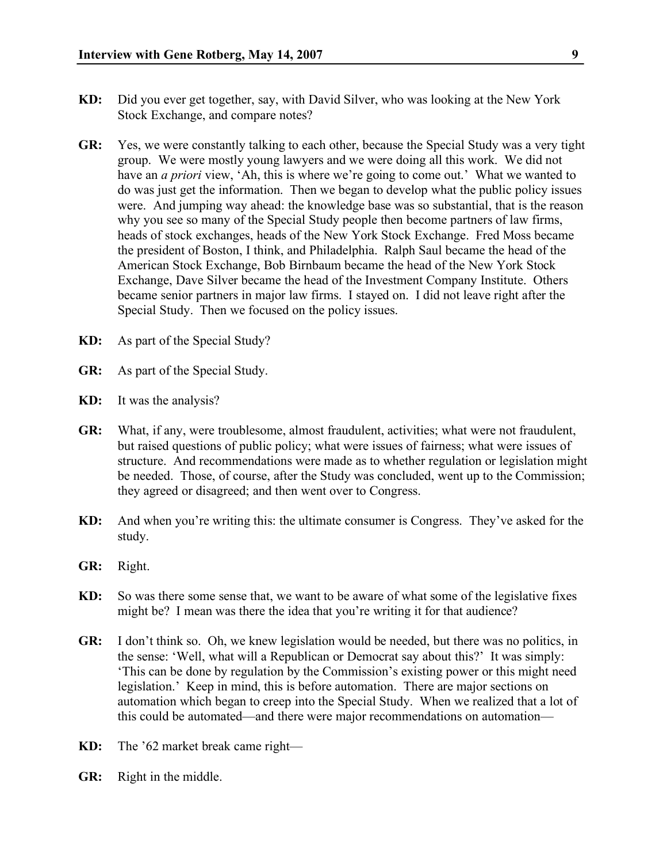- **KD:** Did you ever get together, say, with David Silver, who was looking at the New York Stock Exchange, and compare notes?
- **GR:** Yes, we were constantly talking to each other, because the Special Study was a very tight group. We were mostly young lawyers and we were doing all this work. We did not have an *a priori* view, 'Ah, this is where we're going to come out.' What we wanted to do was just get the information. Then we began to develop what the public policy issues were. And jumping way ahead: the knowledge base was so substantial, that is the reason why you see so many of the Special Study people then become partners of law firms, heads of stock exchanges, heads of the New York Stock Exchange. Fred Moss became the president of Boston, I think, and Philadelphia. Ralph Saul became the head of the American Stock Exchange, Bob Birnbaum became the head of the New York Stock Exchange, Dave Silver became the head of the Investment Company Institute. Others became senior partners in major law firms. I stayed on. I did not leave right after the Special Study. Then we focused on the policy issues.
- **KD:** As part of the Special Study?
- **GR:** As part of the Special Study.
- **KD:** It was the analysis?
- **GR:** What, if any, were troublesome, almost fraudulent, activities; what were not fraudulent, but raised questions of public policy; what were issues of fairness; what were issues of structure. And recommendations were made as to whether regulation or legislation might be needed. Those, of course, after the Study was concluded, went up to the Commission; they agreed or disagreed; and then went over to Congress.
- **KD:** And when you're writing this: the ultimate consumer is Congress. They've asked for the study.
- **GR:** Right.
- **KD:** So was there some sense that, we want to be aware of what some of the legislative fixes might be? I mean was there the idea that you're writing it for that audience?
- **GR:** I don't think so. Oh, we knew legislation would be needed, but there was no politics, in the sense: 'Well, what will a Republican or Democrat say about this?' It was simply: 'This can be done by regulation by the Commission's existing power or this might need legislation.' Keep in mind, this is before automation. There are major sections on automation which began to creep into the Special Study. When we realized that a lot of this could be automated—and there were major recommendations on automation—
- **KD:** The '62 market break came right—
- **GR:** Right in the middle.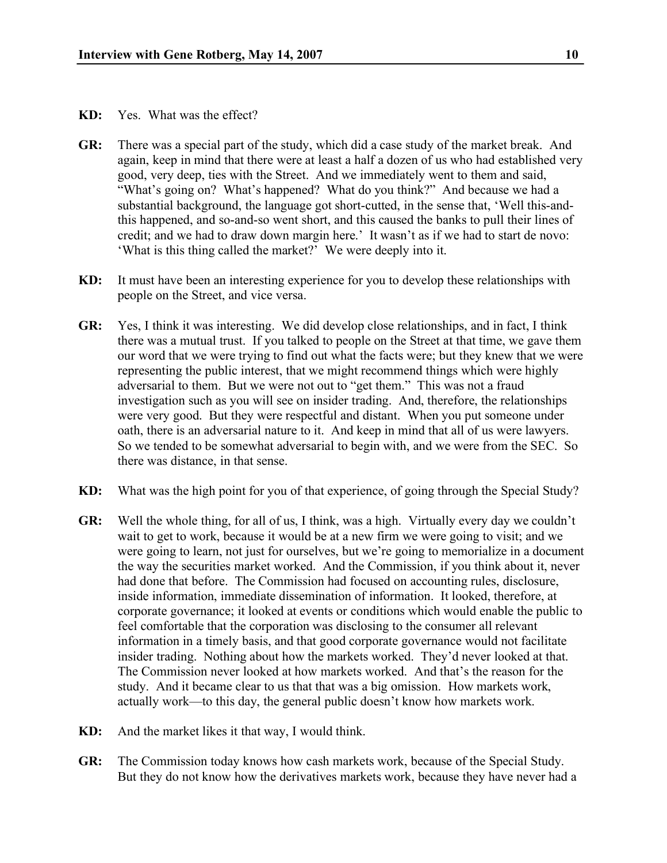- **KD:** Yes. What was the effect?
- **GR:** There was a special part of the study, which did a case study of the market break. And again, keep in mind that there were at least a half a dozen of us who had established very good, very deep, ties with the Street. And we immediately went to them and said, "What's going on? What's happened? What do you think?" And because we had a substantial background, the language got short-cutted, in the sense that, 'Well this-andthis happened, and so-and-so went short, and this caused the banks to pull their lines of credit; and we had to draw down margin here.' It wasn't as if we had to start de novo: 'What is this thing called the market?' We were deeply into it.
- **KD:** It must have been an interesting experience for you to develop these relationships with people on the Street, and vice versa.
- **GR:** Yes, I think it was interesting. We did develop close relationships, and in fact, I think there was a mutual trust. If you talked to people on the Street at that time, we gave them our word that we were trying to find out what the facts were; but they knew that we were representing the public interest, that we might recommend things which were highly adversarial to them. But we were not out to "get them." This was not a fraud investigation such as you will see on insider trading. And, therefore, the relationships were very good. But they were respectful and distant. When you put someone under oath, there is an adversarial nature to it. And keep in mind that all of us were lawyers. So we tended to be somewhat adversarial to begin with, and we were from the SEC. So there was distance, in that sense.
- **KD:** What was the high point for you of that experience, of going through the Special Study?
- **GR:** Well the whole thing, for all of us, I think, was a high. Virtually every day we couldn't wait to get to work, because it would be at a new firm we were going to visit; and we were going to learn, not just for ourselves, but we're going to memorialize in a document the way the securities market worked. And the Commission, if you think about it, never had done that before. The Commission had focused on accounting rules, disclosure, inside information, immediate dissemination of information. It looked, therefore, at corporate governance; it looked at events or conditions which would enable the public to feel comfortable that the corporation was disclosing to the consumer all relevant information in a timely basis, and that good corporate governance would not facilitate insider trading. Nothing about how the markets worked. They'd never looked at that. The Commission never looked at how markets worked. And that's the reason for the study. And it became clear to us that that was a big omission. How markets work, actually work—to this day, the general public doesn't know how markets work.
- **KD:** And the market likes it that way, I would think.
- **GR:** The Commission today knows how cash markets work, because of the Special Study. But they do not know how the derivatives markets work, because they have never had a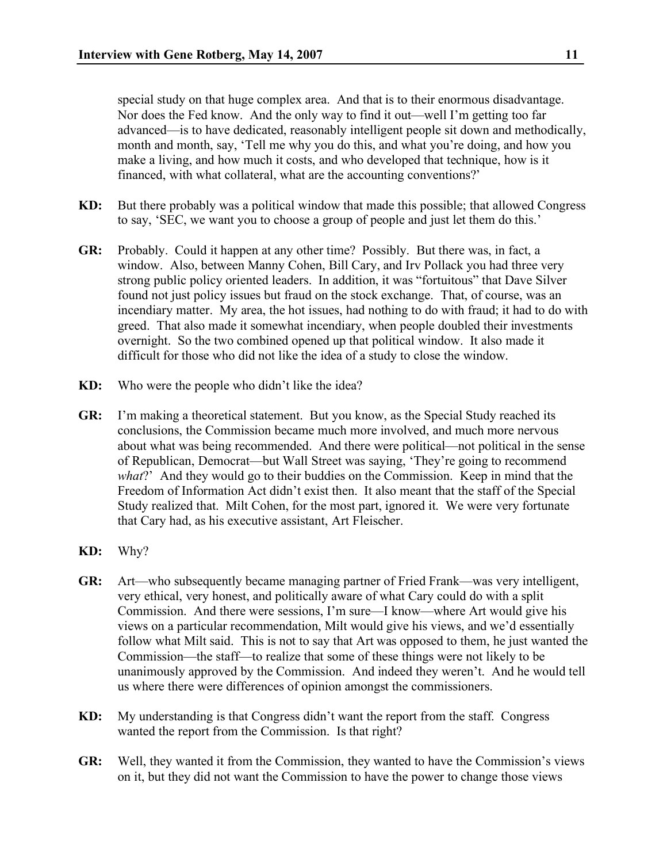special study on that huge complex area. And that is to their enormous disadvantage. Nor does the Fed know. And the only way to find it out—well I'm getting too far advanced—is to have dedicated, reasonably intelligent people sit down and methodically, month and month, say, 'Tell me why you do this, and what you're doing, and how you make a living, and how much it costs, and who developed that technique, how is it financed, with what collateral, what are the accounting conventions?'

- **KD:** But there probably was a political window that made this possible; that allowed Congress to say, 'SEC, we want you to choose a group of people and just let them do this.'
- **GR:** Probably. Could it happen at any other time? Possibly. But there was, in fact, a window. Also, between Manny Cohen, Bill Cary, and Irv Pollack you had three very strong public policy oriented leaders. In addition, it was "fortuitous" that Dave Silver found not just policy issues but fraud on the stock exchange. That, of course, was an incendiary matter. My area, the hot issues, had nothing to do with fraud; it had to do with greed. That also made it somewhat incendiary, when people doubled their investments overnight. So the two combined opened up that political window. It also made it difficult for those who did not like the idea of a study to close the window.
- **KD:** Who were the people who didn't like the idea?
- **GR:** I'm making a theoretical statement. But you know, as the Special Study reached its conclusions, the Commission became much more involved, and much more nervous about what was being recommended. And there were political—not political in the sense of Republican, Democrat—but Wall Street was saying, 'They're going to recommend *what*?' And they would go to their buddies on the Commission. Keep in mind that the Freedom of Information Act didn't exist then. It also meant that the staff of the Special Study realized that. Milt Cohen, for the most part, ignored it. We were very fortunate that Cary had, as his executive assistant, Art Fleischer.
- **KD:** Why?
- **GR:** Art—who subsequently became managing partner of Fried Frank—was very intelligent, very ethical, very honest, and politically aware of what Cary could do with a split Commission. And there were sessions, I'm sure—I know—where Art would give his views on a particular recommendation, Milt would give his views, and we'd essentially follow what Milt said. This is not to say that Art was opposed to them, he just wanted the Commission—the staff—to realize that some of these things were not likely to be unanimously approved by the Commission. And indeed they weren't. And he would tell us where there were differences of opinion amongst the commissioners.
- **KD:** My understanding is that Congress didn't want the report from the staff. Congress wanted the report from the Commission. Is that right?
- **GR:** Well, they wanted it from the Commission, they wanted to have the Commission's views on it, but they did not want the Commission to have the power to change those views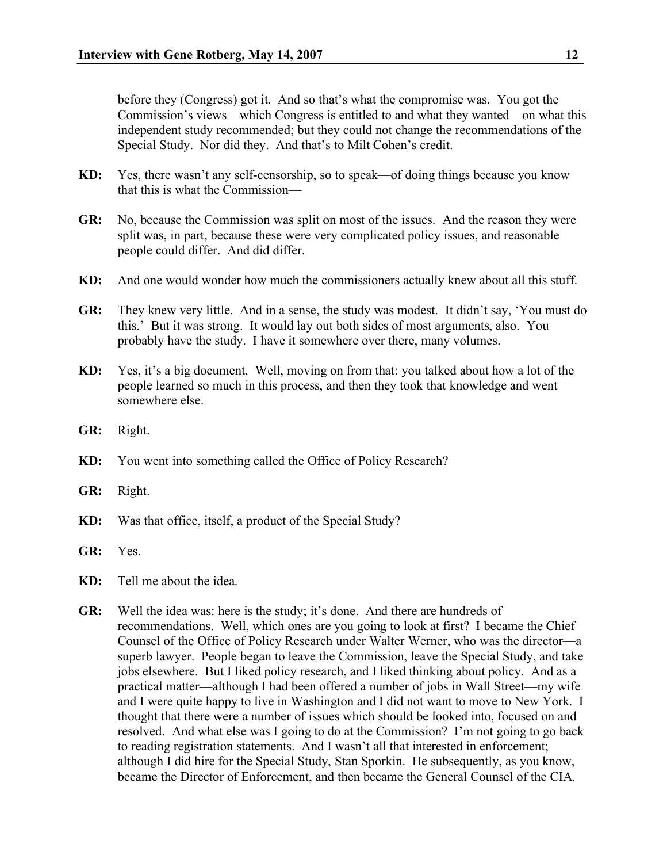before they (Congress) got it. And so that's what the compromise was. You got the Commission's views—which Congress is entitled to and what they wanted—on what this independent study recommended; but they could not change the recommendations of the Special Study. Nor did they. And that's to Milt Cohen's credit.

- **KD:** Yes, there wasn't any self-censorship, so to speak—of doing things because you know that this is what the Commission—
- **GR:** No, because the Commission was split on most of the issues. And the reason they were split was, in part, because these were very complicated policy issues, and reasonable people could differ. And did differ.
- **KD:** And one would wonder how much the commissioners actually knew about all this stuff.
- **GR:** They knew very little. And in a sense, the study was modest. It didn't say, 'You must do this.' But it was strong. It would lay out both sides of most arguments, also. You probably have the study. I have it somewhere over there, many volumes.
- **KD:** Yes, it's a big document. Well, moving on from that: you talked about how a lot of the people learned so much in this process, and then they took that knowledge and went somewhere else.
- **GR:** Right.
- **KD:** You went into something called the Office of Policy Research?
- **GR:** Right.
- **KD:** Was that office, itself, a product of the Special Study?
- **GR:** Yes.
- **KD:** Tell me about the idea.
- **GR:** Well the idea was: here is the study; it's done. And there are hundreds of recommendations. Well, which ones are you going to look at first? I became the Chief Counsel of the Office of Policy Research under Walter Werner, who was the director—a superb lawyer. People began to leave the Commission, leave the Special Study, and take jobs elsewhere. But I liked policy research, and I liked thinking about policy. And as a practical matter—although I had been offered a number of jobs in Wall Street—my wife and I were quite happy to live in Washington and I did not want to move to New York. I thought that there were a number of issues which should be looked into, focused on and resolved. And what else was I going to do at the Commission? I'm not going to go back to reading registration statements. And I wasn't all that interested in enforcement; although I did hire for the Special Study, Stan Sporkin. He subsequently, as you know, became the Director of Enforcement, and then became the General Counsel of the CIA.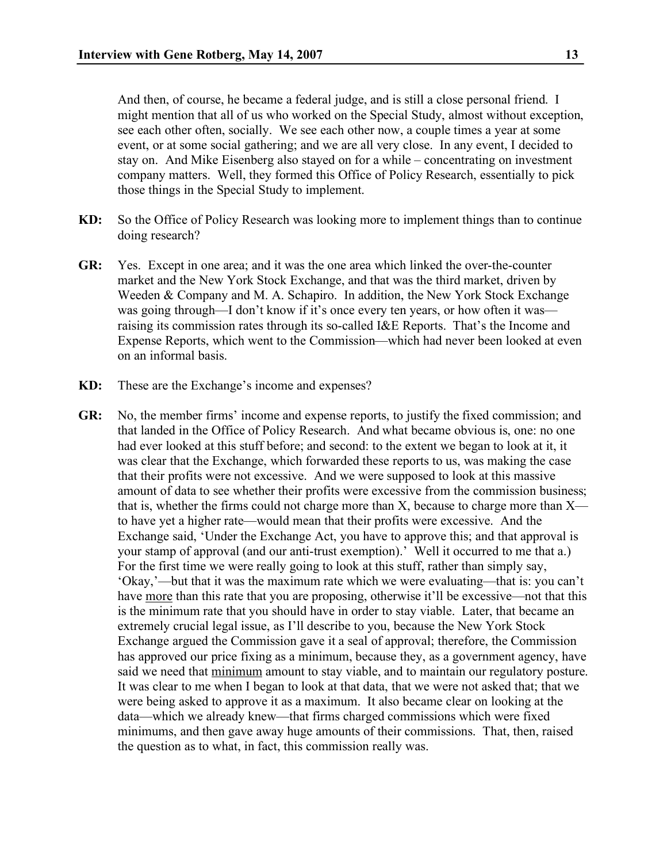And then, of course, he became a federal judge, and is still a close personal friend. I might mention that all of us who worked on the Special Study, almost without exception, see each other often, socially. We see each other now, a couple times a year at some event, or at some social gathering; and we are all very close. In any event, I decided to stay on. And Mike Eisenberg also stayed on for a while – concentrating on investment company matters. Well, they formed this Office of Policy Research, essentially to pick those things in the Special Study to implement.

- **KD:** So the Office of Policy Research was looking more to implement things than to continue doing research?
- **GR:** Yes. Except in one area; and it was the one area which linked the over-the-counter market and the New York Stock Exchange, and that was the third market, driven by Weeden & Company and M. A. Schapiro. In addition, the New York Stock Exchange was going through—I don't know if it's once every ten years, or how often it was raising its commission rates through its so-called I&E Reports. That's the Income and Expense Reports, which went to the Commission—which had never been looked at even on an informal basis.
- **KD:** These are the Exchange's income and expenses?
- **GR:** No, the member firms' income and expense reports, to justify the fixed commission; and that landed in the Office of Policy Research. And what became obvious is, one: no one had ever looked at this stuff before; and second: to the extent we began to look at it, it was clear that the Exchange, which forwarded these reports to us, was making the case that their profits were not excessive. And we were supposed to look at this massive amount of data to see whether their profits were excessive from the commission business; that is, whether the firms could not charge more than X, because to charge more than X to have yet a higher rate—would mean that their profits were excessive. And the Exchange said, 'Under the Exchange Act, you have to approve this; and that approval is your stamp of approval (and our anti-trust exemption).' Well it occurred to me that a.) For the first time we were really going to look at this stuff, rather than simply say, 'Okay,'—but that it was the maximum rate which we were evaluating—that is: you can't have more than this rate that you are proposing, otherwise it'll be excessive—not that this is the minimum rate that you should have in order to stay viable. Later, that became an extremely crucial legal issue, as I'll describe to you, because the New York Stock Exchange argued the Commission gave it a seal of approval; therefore, the Commission has approved our price fixing as a minimum, because they, as a government agency, have said we need that minimum amount to stay viable, and to maintain our regulatory posture. It was clear to me when I began to look at that data, that we were not asked that; that we were being asked to approve it as a maximum. It also became clear on looking at the data—which we already knew—that firms charged commissions which were fixed minimums, and then gave away huge amounts of their commissions. That, then, raised the question as to what, in fact, this commission really was.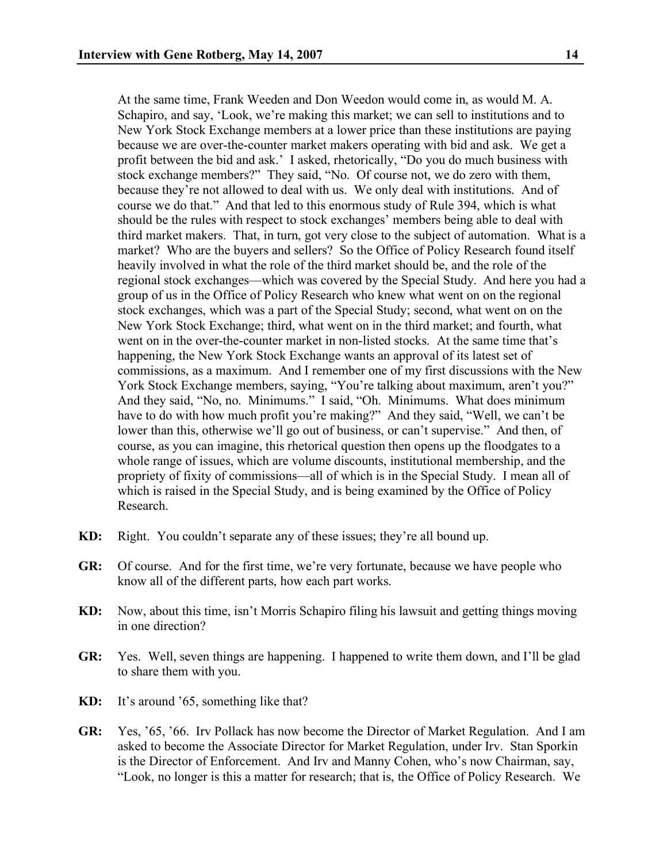At the same time, Frank Weeden and Don Weedon would come in, as would M. A. Schapiro, and say, 'Look, we're making this market; we can sell to institutions and to New York Stock Exchange members at a lower price than these institutions are paying because we are over-the-counter market makers operating with bid and ask. We get a profit between the bid and ask.' I asked, rhetorically, "Do you do much business with stock exchange members?" They said, "No. Of course not, we do zero with them, because they're not allowed to deal with us. We only deal with institutions. And of course we do that." And that led to this enormous study of Rule 394, which is what should be the rules with respect to stock exchanges' members being able to deal with third market makers. That, in turn, got very close to the subject of automation. What is a market? Who are the buyers and sellers? So the Office of Policy Research found itself heavily involved in what the role of the third market should be, and the role of the regional stock exchanges—which was covered by the Special Study. And here you had a group of us in the Office of Policy Research who knew what went on on the regional stock exchanges, which was a part of the Special Study; second, what went on on the New York Stock Exchange; third, what went on in the third market; and fourth, what went on in the over-the-counter market in non-listed stocks. At the same time that's happening, the New York Stock Exchange wants an approval of its latest set of commissions, as a maximum. And I remember one of my first discussions with the New York Stock Exchange members, saying, "You're talking about maximum, aren't you?" And they said, "No, no. Minimums." I said, "Oh. Minimums. What does minimum have to do with how much profit you're making?" And they said, "Well, we can't be lower than this, otherwise we'll go out of business, or can't supervise." And then, of course, as you can imagine, this rhetorical question then opens up the floodgates to a whole range of issues, which are volume discounts, institutional membership, and the propriety of fixity of commissions—all of which is in the Special Study. I mean all of which is raised in the Special Study, and is being examined by the Office of Policy Research.

- **KD:** Right. You couldn't separate any of these issues; they're all bound up.
- **GR:** Of course. And for the first time, we're very fortunate, because we have people who know all of the different parts, how each part works.
- **KD:** Now, about this time, isn't Morris Schapiro filing his lawsuit and getting things moving in one direction?
- **GR:** Yes. Well, seven things are happening. I happened to write them down, and I'll be glad to share them with you.
- **KD:** It's around '65, something like that?
- **GR:** Yes, '65, '66. Irv Pollack has now become the Director of Market Regulation. And I am asked to become the Associate Director for Market Regulation, under Irv. Stan Sporkin is the Director of Enforcement. And Irv and Manny Cohen, who's now Chairman, say, "Look, no longer is this a matter for research; that is, the Office of Policy Research. We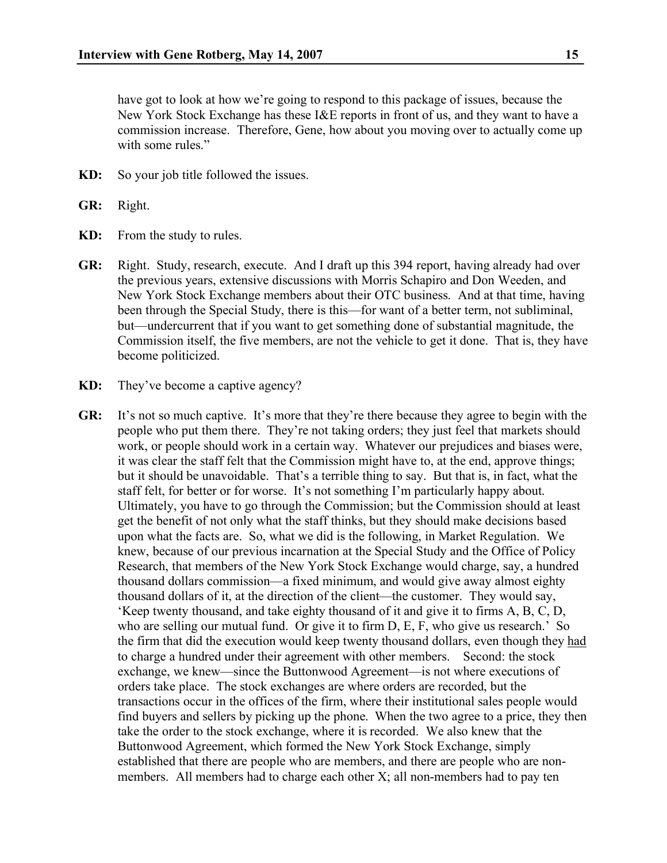have got to look at how we're going to respond to this package of issues, because the New York Stock Exchange has these I&E reports in front of us, and they want to have a commission increase. Therefore, Gene, how about you moving over to actually come up with some rules."

- **KD:** So your job title followed the issues.
- **GR:** Right.
- **KD:** From the study to rules.
- **GR:** Right. Study, research, execute. And I draft up this 394 report, having already had over the previous years, extensive discussions with Morris Schapiro and Don Weeden, and New York Stock Exchange members about their OTC business. And at that time, having been through the Special Study, there is this—for want of a better term, not subliminal, but—undercurrent that if you want to get something done of substantial magnitude, the Commission itself, the five members, are not the vehicle to get it done. That is, they have become politicized.
- **KD:** They've become a captive agency?
- **GR:** It's not so much captive. It's more that they're there because they agree to begin with the people who put them there. They're not taking orders; they just feel that markets should work, or people should work in a certain way. Whatever our prejudices and biases were, it was clear the staff felt that the Commission might have to, at the end, approve things; but it should be unavoidable. That's a terrible thing to say. But that is, in fact, what the staff felt, for better or for worse. It's not something I'm particularly happy about. Ultimately, you have to go through the Commission; but the Commission should at least get the benefit of not only what the staff thinks, but they should make decisions based upon what the facts are. So, what we did is the following, in Market Regulation. We knew, because of our previous incarnation at the Special Study and the Office of Policy Research, that members of the New York Stock Exchange would charge, say, a hundred thousand dollars commission—a fixed minimum, and would give away almost eighty thousand dollars of it, at the direction of the client—the customer. They would say, 'Keep twenty thousand, and take eighty thousand of it and give it to firms A, B, C, D, who are selling our mutual fund. Or give it to firm D, E, F, who give us research.' So the firm that did the execution would keep twenty thousand dollars, even though they had to charge a hundred under their agreement with other members. Second: the stock exchange, we knew—since the Buttonwood Agreement—is not where executions of orders take place. The stock exchanges are where orders are recorded, but the transactions occur in the offices of the firm, where their institutional sales people would find buyers and sellers by picking up the phone. When the two agree to a price, they then take the order to the stock exchange, where it is recorded. We also knew that the Buttonwood Agreement, which formed the New York Stock Exchange, simply established that there are people who are members, and there are people who are nonmembers. All members had to charge each other X; all non-members had to pay ten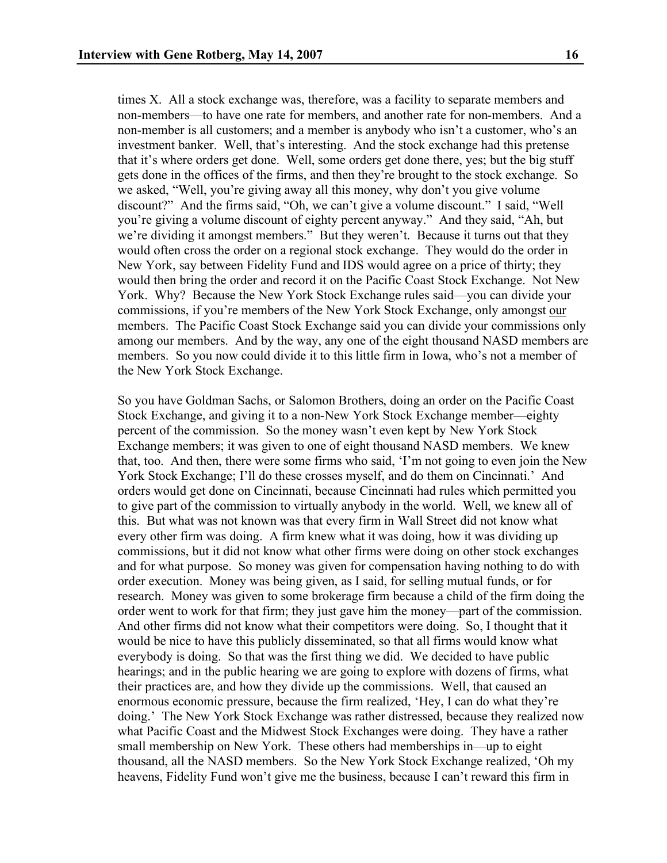times X. All a stock exchange was, therefore, was a facility to separate members and non-members—to have one rate for members, and another rate for non-members. And a non-member is all customers; and a member is anybody who isn't a customer, who's an investment banker. Well, that's interesting. And the stock exchange had this pretense that it's where orders get done. Well, some orders get done there, yes; but the big stuff gets done in the offices of the firms, and then they're brought to the stock exchange. So we asked, "Well, you're giving away all this money, why don't you give volume discount?" And the firms said, "Oh, we can't give a volume discount." I said, "Well you're giving a volume discount of eighty percent anyway." And they said, "Ah, but we're dividing it amongst members." But they weren't. Because it turns out that they would often cross the order on a regional stock exchange. They would do the order in New York, say between Fidelity Fund and IDS would agree on a price of thirty; they would then bring the order and record it on the Pacific Coast Stock Exchange. Not New York. Why? Because the New York Stock Exchange rules said—you can divide your commissions, if you're members of the New York Stock Exchange, only amongst our members. The Pacific Coast Stock Exchange said you can divide your commissions only among our members. And by the way, any one of the eight thousand NASD members are members. So you now could divide it to this little firm in Iowa, who's not a member of the New York Stock Exchange.

So you have Goldman Sachs, or Salomon Brothers, doing an order on the Pacific Coast Stock Exchange, and giving it to a non-New York Stock Exchange member—eighty percent of the commission. So the money wasn't even kept by New York Stock Exchange members; it was given to one of eight thousand NASD members. We knew that, too. And then, there were some firms who said, 'I'm not going to even join the New York Stock Exchange; I'll do these crosses myself, and do them on Cincinnati.' And orders would get done on Cincinnati, because Cincinnati had rules which permitted you to give part of the commission to virtually anybody in the world. Well, we knew all of this. But what was not known was that every firm in Wall Street did not know what every other firm was doing. A firm knew what it was doing, how it was dividing up commissions, but it did not know what other firms were doing on other stock exchanges and for what purpose. So money was given for compensation having nothing to do with order execution. Money was being given, as I said, for selling mutual funds, or for research. Money was given to some brokerage firm because a child of the firm doing the order went to work for that firm; they just gave him the money—part of the commission. And other firms did not know what their competitors were doing. So, I thought that it would be nice to have this publicly disseminated, so that all firms would know what everybody is doing. So that was the first thing we did. We decided to have public hearings; and in the public hearing we are going to explore with dozens of firms, what their practices are, and how they divide up the commissions. Well, that caused an enormous economic pressure, because the firm realized, 'Hey, I can do what they're doing.' The New York Stock Exchange was rather distressed, because they realized now what Pacific Coast and the Midwest Stock Exchanges were doing. They have a rather small membership on New York. These others had memberships in—up to eight thousand, all the NASD members. So the New York Stock Exchange realized, 'Oh my heavens, Fidelity Fund won't give me the business, because I can't reward this firm in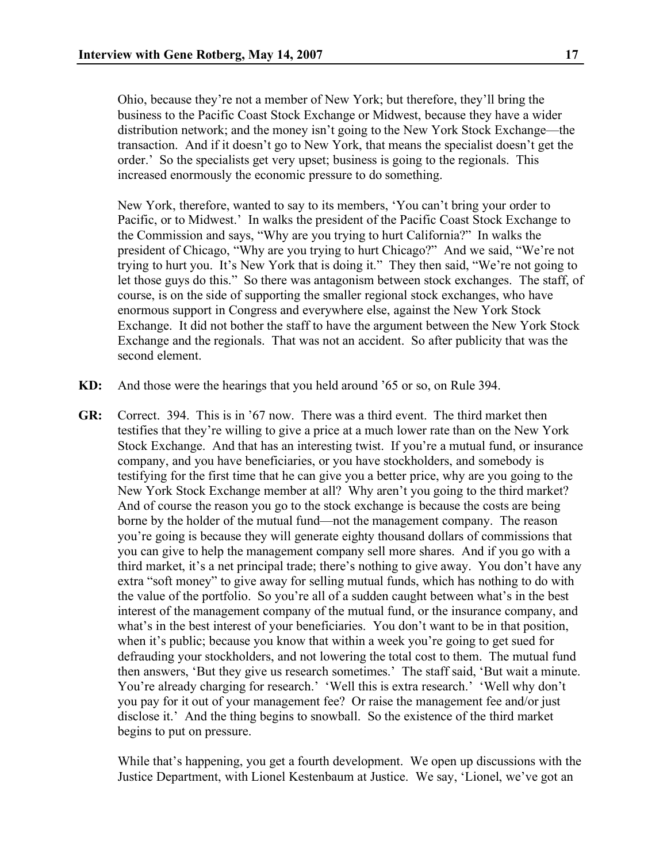Ohio, because they're not a member of New York; but therefore, they'll bring the business to the Pacific Coast Stock Exchange or Midwest, because they have a wider distribution network; and the money isn't going to the New York Stock Exchange—the transaction. And if it doesn't go to New York, that means the specialist doesn't get the order.' So the specialists get very upset; business is going to the regionals. This increased enormously the economic pressure to do something.

New York, therefore, wanted to say to its members, 'You can't bring your order to Pacific, or to Midwest.' In walks the president of the Pacific Coast Stock Exchange to the Commission and says, "Why are you trying to hurt California?" In walks the president of Chicago, "Why are you trying to hurt Chicago?" And we said, "We're not trying to hurt you. It's New York that is doing it." They then said, "We're not going to let those guys do this." So there was antagonism between stock exchanges. The staff, of course, is on the side of supporting the smaller regional stock exchanges, who have enormous support in Congress and everywhere else, against the New York Stock Exchange. It did not bother the staff to have the argument between the New York Stock Exchange and the regionals. That was not an accident. So after publicity that was the second element.

- **KD:** And those were the hearings that you held around '65 or so, on Rule 394.
- **GR:** Correct. 394. This is in '67 now. There was a third event. The third market then testifies that they're willing to give a price at a much lower rate than on the New York Stock Exchange. And that has an interesting twist. If you're a mutual fund, or insurance company, and you have beneficiaries, or you have stockholders, and somebody is testifying for the first time that he can give you a better price, why are you going to the New York Stock Exchange member at all? Why aren't you going to the third market? And of course the reason you go to the stock exchange is because the costs are being borne by the holder of the mutual fund—not the management company. The reason you're going is because they will generate eighty thousand dollars of commissions that you can give to help the management company sell more shares. And if you go with a third market, it's a net principal trade; there's nothing to give away. You don't have any extra "soft money" to give away for selling mutual funds, which has nothing to do with the value of the portfolio. So you're all of a sudden caught between what's in the best interest of the management company of the mutual fund, or the insurance company, and what's in the best interest of your beneficiaries. You don't want to be in that position, when it's public; because you know that within a week you're going to get sued for defrauding your stockholders, and not lowering the total cost to them. The mutual fund then answers, 'But they give us research sometimes.' The staff said, 'But wait a minute. You're already charging for research.' 'Well this is extra research.' 'Well why don't you pay for it out of your management fee? Or raise the management fee and/or just disclose it.' And the thing begins to snowball. So the existence of the third market begins to put on pressure.

While that's happening, you get a fourth development. We open up discussions with the Justice Department, with Lionel Kestenbaum at Justice. We say, 'Lionel, we've got an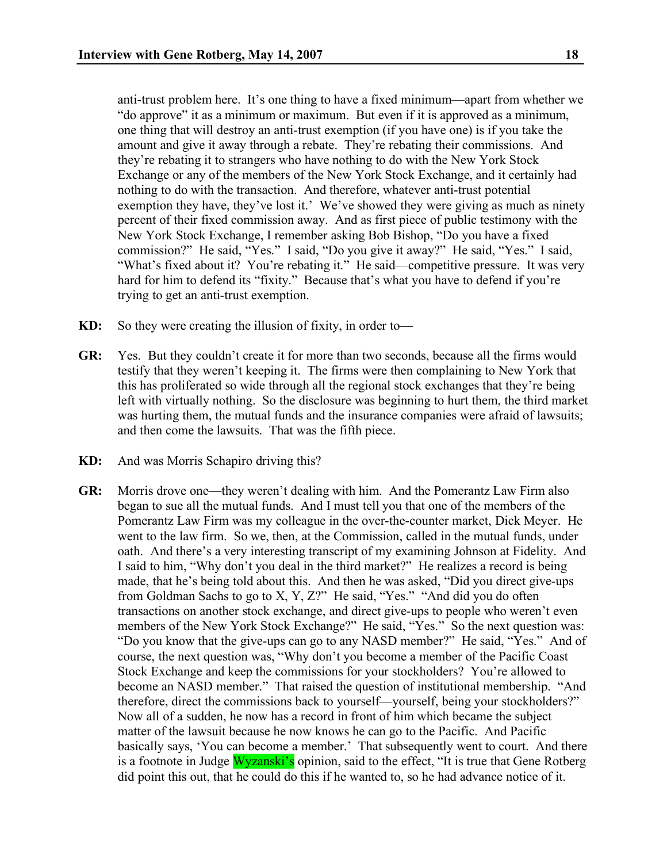anti-trust problem here. It's one thing to have a fixed minimum—apart from whether we "do approve" it as a minimum or maximum. But even if it is approved as a minimum, one thing that will destroy an anti-trust exemption (if you have one) is if you take the amount and give it away through a rebate. They're rebating their commissions. And they're rebating it to strangers who have nothing to do with the New York Stock Exchange or any of the members of the New York Stock Exchange, and it certainly had nothing to do with the transaction. And therefore, whatever anti-trust potential exemption they have, they've lost it.' We've showed they were giving as much as ninety percent of their fixed commission away. And as first piece of public testimony with the New York Stock Exchange, I remember asking Bob Bishop, "Do you have a fixed commission?" He said, "Yes." I said, "Do you give it away?" He said, "Yes." I said, "What's fixed about it? You're rebating it." He said—competitive pressure. It was very hard for him to defend its "fixity." Because that's what you have to defend if you're trying to get an anti-trust exemption.

- **KD:** So they were creating the illusion of fixity, in order to—
- **GR:** Yes. But they couldn't create it for more than two seconds, because all the firms would testify that they weren't keeping it. The firms were then complaining to New York that this has proliferated so wide through all the regional stock exchanges that they're being left with virtually nothing. So the disclosure was beginning to hurt them, the third market was hurting them, the mutual funds and the insurance companies were afraid of lawsuits; and then come the lawsuits. That was the fifth piece.
- **KD:** And was Morris Schapiro driving this?
- **GR:** Morris drove one—they weren't dealing with him. And the Pomerantz Law Firm also began to sue all the mutual funds. And I must tell you that one of the members of the Pomerantz Law Firm was my colleague in the over-the-counter market, Dick Meyer. He went to the law firm. So we, then, at the Commission, called in the mutual funds, under oath. And there's a very interesting transcript of my examining Johnson at Fidelity. And I said to him, "Why don't you deal in the third market?" He realizes a record is being made, that he's being told about this. And then he was asked, "Did you direct give-ups from Goldman Sachs to go to X, Y, Z?" He said, "Yes." "And did you do often transactions on another stock exchange, and direct give-ups to people who weren't even members of the New York Stock Exchange?" He said, "Yes." So the next question was: "Do you know that the give-ups can go to any NASD member?" He said, "Yes." And of course, the next question was, "Why don't you become a member of the Pacific Coast Stock Exchange and keep the commissions for your stockholders? You're allowed to become an NASD member." That raised the question of institutional membership. "And therefore, direct the commissions back to yourself—yourself, being your stockholders?" Now all of a sudden, he now has a record in front of him which became the subject matter of the lawsuit because he now knows he can go to the Pacific. And Pacific basically says, 'You can become a member.' That subsequently went to court. And there is a footnote in Judge Wyzanski's opinion, said to the effect, "It is true that Gene Rotberg" did point this out, that he could do this if he wanted to, so he had advance notice of it.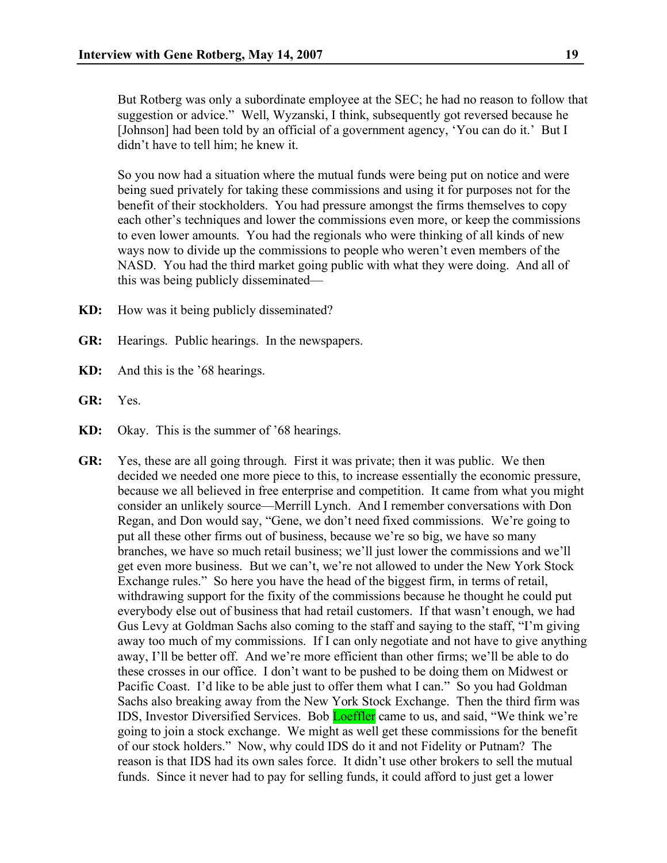But Rotberg was only a subordinate employee at the SEC; he had no reason to follow that suggestion or advice." Well, Wyzanski, I think, subsequently got reversed because he [Johnson] had been told by an official of a government agency, 'You can do it.' But I didn't have to tell him; he knew it.

So you now had a situation where the mutual funds were being put on notice and were being sued privately for taking these commissions and using it for purposes not for the benefit of their stockholders. You had pressure amongst the firms themselves to copy each other's techniques and lower the commissions even more, or keep the commissions to even lower amounts. You had the regionals who were thinking of all kinds of new ways now to divide up the commissions to people who weren't even members of the NASD. You had the third market going public with what they were doing. And all of this was being publicly disseminated—

- **KD:** How was it being publicly disseminated?
- **GR:** Hearings. Public hearings. In the newspapers.
- **KD:** And this is the '68 hearings.
- **GR:** Yes.
- **KD:** Okay. This is the summer of '68 hearings.
- **GR:** Yes, these are all going through. First it was private; then it was public. We then decided we needed one more piece to this, to increase essentially the economic pressure, because we all believed in free enterprise and competition. It came from what you might consider an unlikely source—Merrill Lynch. And I remember conversations with Don Regan, and Don would say, "Gene, we don't need fixed commissions. We're going to put all these other firms out of business, because we're so big, we have so many branches, we have so much retail business; we'll just lower the commissions and we'll get even more business. But we can't, we're not allowed to under the New York Stock Exchange rules." So here you have the head of the biggest firm, in terms of retail, withdrawing support for the fixity of the commissions because he thought he could put everybody else out of business that had retail customers. If that wasn't enough, we had Gus Levy at Goldman Sachs also coming to the staff and saying to the staff, "I'm giving away too much of my commissions. If I can only negotiate and not have to give anything away, I'll be better off. And we're more efficient than other firms; we'll be able to do these crosses in our office. I don't want to be pushed to be doing them on Midwest or Pacific Coast. I'd like to be able just to offer them what I can." So you had Goldman Sachs also breaking away from the New York Stock Exchange. Then the third firm was IDS, Investor Diversified Services. Bob Loeffler came to us, and said, "We think we're going to join a stock exchange. We might as well get these commissions for the benefit of our stock holders." Now, why could IDS do it and not Fidelity or Putnam? The reason is that IDS had its own sales force. It didn't use other brokers to sell the mutual funds. Since it never had to pay for selling funds, it could afford to just get a lower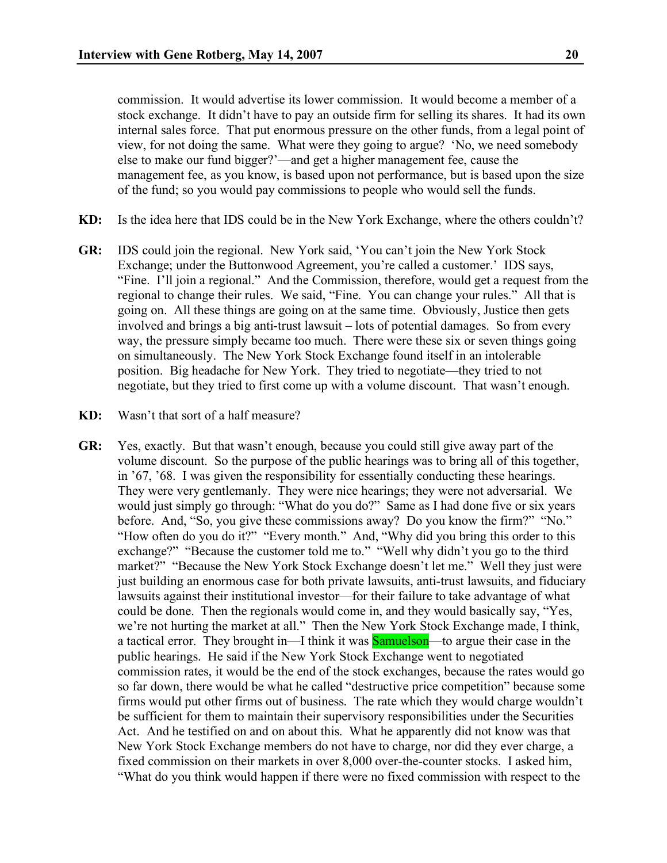commission. It would advertise its lower commission. It would become a member of a stock exchange. It didn't have to pay an outside firm for selling its shares. It had its own internal sales force. That put enormous pressure on the other funds, from a legal point of view, for not doing the same. What were they going to argue? 'No, we need somebody else to make our fund bigger?'—and get a higher management fee, cause the management fee, as you know, is based upon not performance, but is based upon the size of the fund; so you would pay commissions to people who would sell the funds.

- **KD:** Is the idea here that IDS could be in the New York Exchange, where the others couldn't?
- **GR:** IDS could join the regional. New York said, 'You can't join the New York Stock Exchange; under the Buttonwood Agreement, you're called a customer.' IDS says, "Fine. I'll join a regional." And the Commission, therefore, would get a request from the regional to change their rules. We said, "Fine. You can change your rules." All that is going on. All these things are going on at the same time. Obviously, Justice then gets involved and brings a big anti-trust lawsuit – lots of potential damages. So from every way, the pressure simply became too much. There were these six or seven things going on simultaneously. The New York Stock Exchange found itself in an intolerable position. Big headache for New York. They tried to negotiate—they tried to not negotiate, but they tried to first come up with a volume discount. That wasn't enough.
- **KD:** Wasn't that sort of a half measure?
- **GR:** Yes, exactly. But that wasn't enough, because you could still give away part of the volume discount. So the purpose of the public hearings was to bring all of this together, in '67, '68. I was given the responsibility for essentially conducting these hearings. They were very gentlemanly. They were nice hearings; they were not adversarial. We would just simply go through: "What do you do?" Same as I had done five or six years before. And, "So, you give these commissions away? Do you know the firm?" "No." "How often do you do it?" "Every month." And, "Why did you bring this order to this exchange?" "Because the customer told me to." "Well why didn't you go to the third market?" "Because the New York Stock Exchange doesn't let me." Well they just were just building an enormous case for both private lawsuits, anti-trust lawsuits, and fiduciary lawsuits against their institutional investor—for their failure to take advantage of what could be done. Then the regionals would come in, and they would basically say, "Yes, we're not hurting the market at all." Then the New York Stock Exchange made, I think, a tactical error. They brought in—I think it was **Samuelson**—to argue their case in the public hearings. He said if the New York Stock Exchange went to negotiated commission rates, it would be the end of the stock exchanges, because the rates would go so far down, there would be what he called "destructive price competition" because some firms would put other firms out of business. The rate which they would charge wouldn't be sufficient for them to maintain their supervisory responsibilities under the Securities Act. And he testified on and on about this. What he apparently did not know was that New York Stock Exchange members do not have to charge, nor did they ever charge, a fixed commission on their markets in over 8,000 over-the-counter stocks. I asked him, "What do you think would happen if there were no fixed commission with respect to the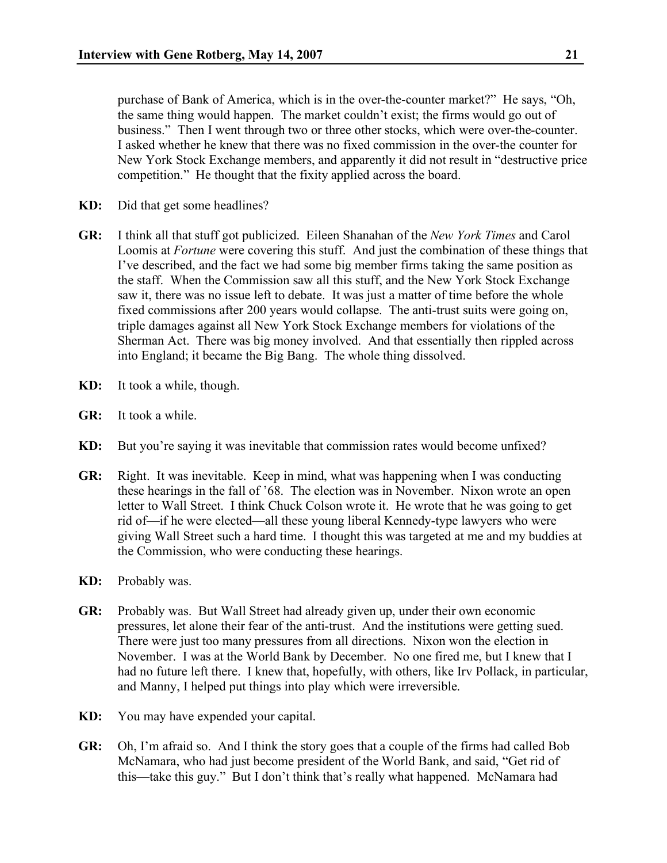purchase of Bank of America, which is in the over-the-counter market?" He says, "Oh, the same thing would happen. The market couldn't exist; the firms would go out of business." Then I went through two or three other stocks, which were over-the-counter. I asked whether he knew that there was no fixed commission in the over-the counter for New York Stock Exchange members, and apparently it did not result in "destructive price competition." He thought that the fixity applied across the board.

- **KD:** Did that get some headlines?
- **GR:** I think all that stuff got publicized. Eileen Shanahan of the *New York Times* and Carol Loomis at *Fortune* were covering this stuff. And just the combination of these things that I've described, and the fact we had some big member firms taking the same position as the staff. When the Commission saw all this stuff, and the New York Stock Exchange saw it, there was no issue left to debate. It was just a matter of time before the whole fixed commissions after 200 years would collapse. The anti-trust suits were going on, triple damages against all New York Stock Exchange members for violations of the Sherman Act. There was big money involved. And that essentially then rippled across into England; it became the Big Bang. The whole thing dissolved.
- **KD:** It took a while, though.
- **GR:** It took a while.
- **KD:** But you're saying it was inevitable that commission rates would become unfixed?
- **GR:** Right. It was inevitable. Keep in mind, what was happening when I was conducting these hearings in the fall of '68. The election was in November. Nixon wrote an open letter to Wall Street. I think Chuck Colson wrote it. He wrote that he was going to get rid of—if he were elected—all these young liberal Kennedy-type lawyers who were giving Wall Street such a hard time. I thought this was targeted at me and my buddies at the Commission, who were conducting these hearings.
- **KD:** Probably was.
- **GR:** Probably was. But Wall Street had already given up, under their own economic pressures, let alone their fear of the anti-trust. And the institutions were getting sued. There were just too many pressures from all directions. Nixon won the election in November. I was at the World Bank by December. No one fired me, but I knew that I had no future left there. I knew that, hopefully, with others, like Irv Pollack, in particular, and Manny, I helped put things into play which were irreversible.
- **KD:** You may have expended your capital.
- **GR:** Oh, I'm afraid so. And I think the story goes that a couple of the firms had called Bob McNamara, who had just become president of the World Bank, and said, "Get rid of this—take this guy." But I don't think that's really what happened. McNamara had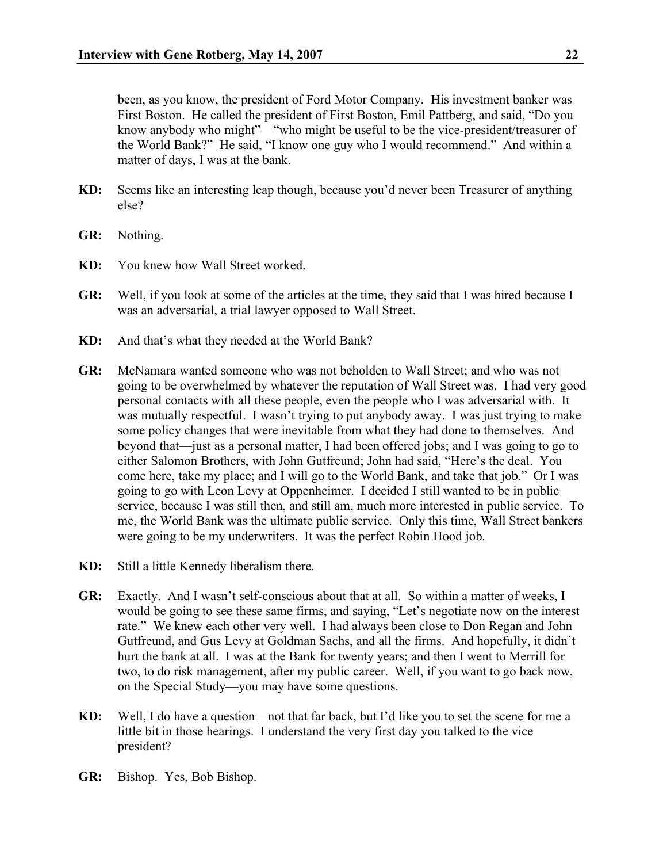been, as you know, the president of Ford Motor Company. His investment banker was First Boston. He called the president of First Boston, Emil Pattberg, and said, "Do you know anybody who might"—"who might be useful to be the vice-president/treasurer of the World Bank?" He said, "I know one guy who I would recommend." And within a matter of days, I was at the bank.

- **KD:** Seems like an interesting leap though, because you'd never been Treasurer of anything else?
- **GR:** Nothing.
- **KD:** You knew how Wall Street worked.
- **GR:** Well, if you look at some of the articles at the time, they said that I was hired because I was an adversarial, a trial lawyer opposed to Wall Street.
- **KD:** And that's what they needed at the World Bank?
- **GR:** McNamara wanted someone who was not beholden to Wall Street; and who was not going to be overwhelmed by whatever the reputation of Wall Street was. I had very good personal contacts with all these people, even the people who I was adversarial with. It was mutually respectful. I wasn't trying to put anybody away. I was just trying to make some policy changes that were inevitable from what they had done to themselves. And beyond that—just as a personal matter, I had been offered jobs; and I was going to go to either Salomon Brothers, with John Gutfreund; John had said, "Here's the deal. You come here, take my place; and I will go to the World Bank, and take that job." Or I was going to go with Leon Levy at Oppenheimer. I decided I still wanted to be in public service, because I was still then, and still am, much more interested in public service. To me, the World Bank was the ultimate public service. Only this time, Wall Street bankers were going to be my underwriters. It was the perfect Robin Hood job.
- **KD:** Still a little Kennedy liberalism there.
- **GR:** Exactly. And I wasn't self-conscious about that at all. So within a matter of weeks, I would be going to see these same firms, and saying, "Let's negotiate now on the interest rate." We knew each other very well. I had always been close to Don Regan and John Gutfreund, and Gus Levy at Goldman Sachs, and all the firms. And hopefully, it didn't hurt the bank at all. I was at the Bank for twenty years; and then I went to Merrill for two, to do risk management, after my public career. Well, if you want to go back now, on the Special Study—you may have some questions.
- **KD:** Well, I do have a question—not that far back, but I'd like you to set the scene for me a little bit in those hearings. I understand the very first day you talked to the vice president?
- **GR:** Bishop. Yes, Bob Bishop.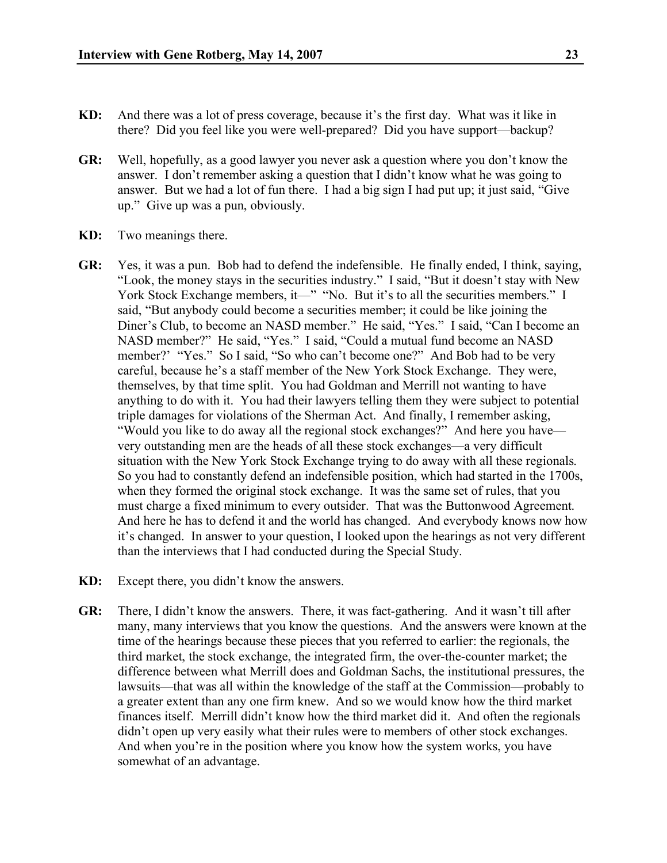- **KD:** And there was a lot of press coverage, because it's the first day. What was it like in there? Did you feel like you were well-prepared? Did you have support—backup?
- **GR:** Well, hopefully, as a good lawyer you never ask a question where you don't know the answer. I don't remember asking a question that I didn't know what he was going to answer. But we had a lot of fun there. I had a big sign I had put up; it just said, "Give up." Give up was a pun, obviously.
- **KD:** Two meanings there.
- **GR:** Yes, it was a pun. Bob had to defend the indefensible. He finally ended, I think, saying, "Look, the money stays in the securities industry." I said, "But it doesn't stay with New York Stock Exchange members, it—" "No. But it's to all the securities members." I said, "But anybody could become a securities member; it could be like joining the Diner's Club, to become an NASD member." He said, "Yes." I said, "Can I become an NASD member?" He said, "Yes." I said, "Could a mutual fund become an NASD member?' "Yes." So I said, "So who can't become one?" And Bob had to be very careful, because he's a staff member of the New York Stock Exchange. They were, themselves, by that time split. You had Goldman and Merrill not wanting to have anything to do with it. You had their lawyers telling them they were subject to potential triple damages for violations of the Sherman Act. And finally, I remember asking, "Would you like to do away all the regional stock exchanges?" And here you have very outstanding men are the heads of all these stock exchanges—a very difficult situation with the New York Stock Exchange trying to do away with all these regionals. So you had to constantly defend an indefensible position, which had started in the 1700s, when they formed the original stock exchange. It was the same set of rules, that you must charge a fixed minimum to every outsider. That was the Buttonwood Agreement. And here he has to defend it and the world has changed. And everybody knows now how it's changed. In answer to your question, I looked upon the hearings as not very different than the interviews that I had conducted during the Special Study.
- **KD:** Except there, you didn't know the answers.
- **GR:** There, I didn't know the answers. There, it was fact-gathering. And it wasn't till after many, many interviews that you know the questions. And the answers were known at the time of the hearings because these pieces that you referred to earlier: the regionals, the third market, the stock exchange, the integrated firm, the over-the-counter market; the difference between what Merrill does and Goldman Sachs, the institutional pressures, the lawsuits—that was all within the knowledge of the staff at the Commission—probably to a greater extent than any one firm knew. And so we would know how the third market finances itself. Merrill didn't know how the third market did it. And often the regionals didn't open up very easily what their rules were to members of other stock exchanges. And when you're in the position where you know how the system works, you have somewhat of an advantage.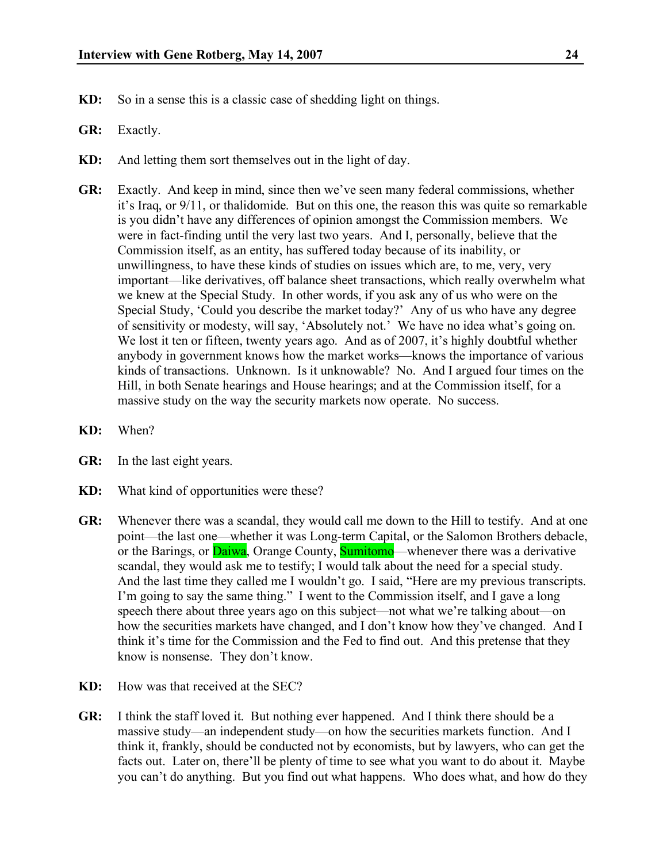- **KD:** So in a sense this is a classic case of shedding light on things.
- **GR:** Exactly.
- **KD:** And letting them sort themselves out in the light of day.
- **GR:** Exactly. And keep in mind, since then we've seen many federal commissions, whether it's Iraq, or 9/11, or thalidomide. But on this one, the reason this was quite so remarkable is you didn't have any differences of opinion amongst the Commission members. We were in fact-finding until the very last two years. And I, personally, believe that the Commission itself, as an entity, has suffered today because of its inability, or unwillingness, to have these kinds of studies on issues which are, to me, very, very important—like derivatives, off balance sheet transactions, which really overwhelm what we knew at the Special Study. In other words, if you ask any of us who were on the Special Study, 'Could you describe the market today?' Any of us who have any degree of sensitivity or modesty, will say, 'Absolutely not.' We have no idea what's going on. We lost it ten or fifteen, twenty years ago. And as of 2007, it's highly doubtful whether anybody in government knows how the market works—knows the importance of various kinds of transactions. Unknown. Is it unknowable? No. And I argued four times on the Hill, in both Senate hearings and House hearings; and at the Commission itself, for a massive study on the way the security markets now operate. No success.
- **KD:** When?
- **GR:** In the last eight years.
- **KD:** What kind of opportunities were these?
- **GR:** Whenever there was a scandal, they would call me down to the Hill to testify. And at one point—the last one—whether it was Long-term Capital, or the Salomon Brothers debacle, or the Barings, or **Daiwa**, Orange County, **Sumitomo**—whenever there was a derivative scandal, they would ask me to testify; I would talk about the need for a special study. And the last time they called me I wouldn't go. I said, "Here are my previous transcripts. I'm going to say the same thing." I went to the Commission itself, and I gave a long speech there about three years ago on this subject—not what we're talking about—on how the securities markets have changed, and I don't know how they've changed. And I think it's time for the Commission and the Fed to find out. And this pretense that they know is nonsense. They don't know.
- **KD:** How was that received at the SEC?
- **GR:** I think the staff loved it. But nothing ever happened. And I think there should be a massive study—an independent study—on how the securities markets function. And I think it, frankly, should be conducted not by economists, but by lawyers, who can get the facts out. Later on, there'll be plenty of time to see what you want to do about it. Maybe you can't do anything. But you find out what happens. Who does what, and how do they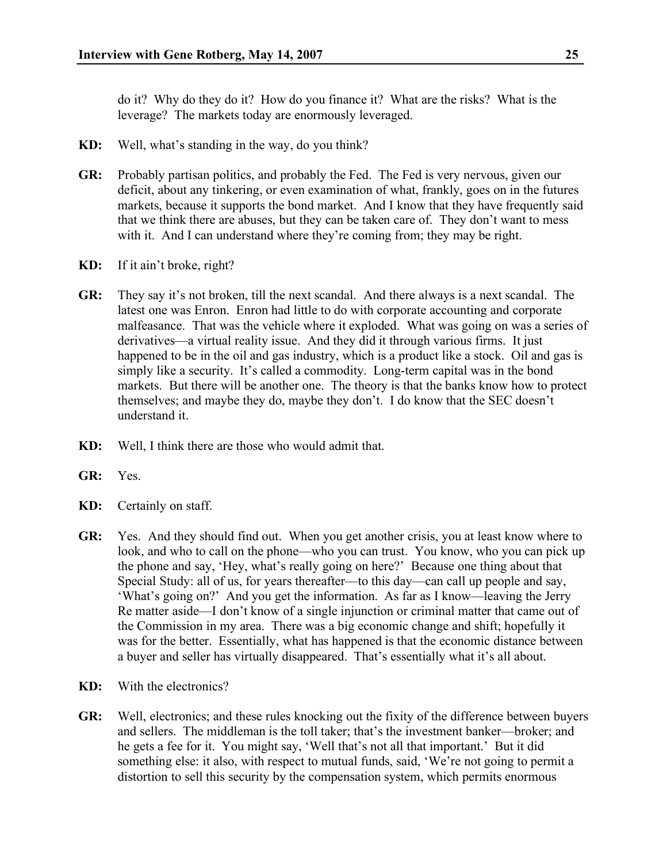do it? Why do they do it? How do you finance it? What are the risks? What is the leverage? The markets today are enormously leveraged.

- **KD:** Well, what's standing in the way, do you think?
- **GR:** Probably partisan politics, and probably the Fed. The Fed is very nervous, given our deficit, about any tinkering, or even examination of what, frankly, goes on in the futures markets, because it supports the bond market. And I know that they have frequently said that we think there are abuses, but they can be taken care of. They don't want to mess with it. And I can understand where they're coming from; they may be right.
- **KD:** If it ain't broke, right?
- **GR:** They say it's not broken, till the next scandal. And there always is a next scandal. The latest one was Enron. Enron had little to do with corporate accounting and corporate malfeasance. That was the vehicle where it exploded. What was going on was a series of derivatives—a virtual reality issue. And they did it through various firms. It just happened to be in the oil and gas industry, which is a product like a stock. Oil and gas is simply like a security. It's called a commodity. Long-term capital was in the bond markets. But there will be another one. The theory is that the banks know how to protect themselves; and maybe they do, maybe they don't. I do know that the SEC doesn't understand it.
- **KD:** Well, I think there are those who would admit that.
- **GR:** Yes.
- **KD:** Certainly on staff.
- **GR:** Yes. And they should find out. When you get another crisis, you at least know where to look, and who to call on the phone—who you can trust. You know, who you can pick up the phone and say, 'Hey, what's really going on here?' Because one thing about that Special Study: all of us, for years thereafter—to this day—can call up people and say, 'What's going on?' And you get the information. As far as I know—leaving the Jerry Re matter aside—I don't know of a single injunction or criminal matter that came out of the Commission in my area. There was a big economic change and shift; hopefully it was for the better. Essentially, what has happened is that the economic distance between a buyer and seller has virtually disappeared. That's essentially what it's all about.
- **KD:** With the electronics?
- **GR:** Well, electronics; and these rules knocking out the fixity of the difference between buyers and sellers. The middleman is the toll taker; that's the investment banker—broker; and he gets a fee for it. You might say, 'Well that's not all that important.' But it did something else: it also, with respect to mutual funds, said, 'We're not going to permit a distortion to sell this security by the compensation system, which permits enormous